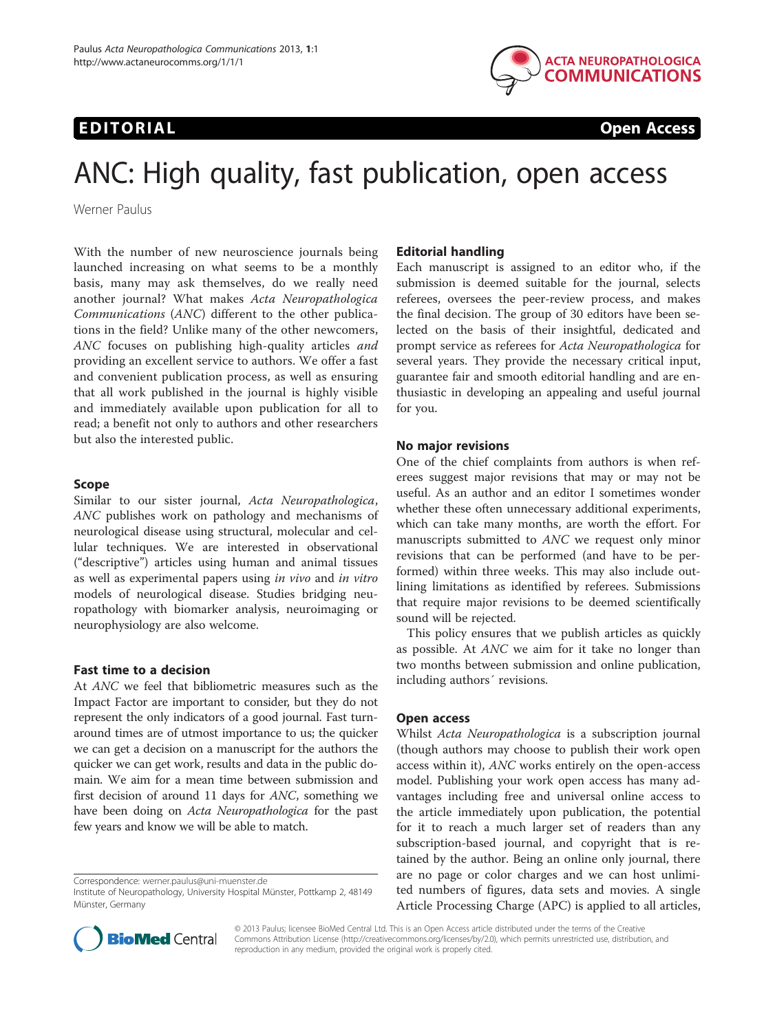# EDITORIAL CONTROL CONTROL CONTROL CONTROL CONTROL CONTROL CONTROL CONTROL CONTROL CONTROL CONTROL CONTROL CONTROL CONTROL CONTROL CONTROL CONTROL CONTROL CONTROL CONTROL CONTROL CONTROL CONTROL CONTROL CONTROL CONTROL CONT



# ANC: High quality, fast publication, open access

Werner Paulus

With the number of new neuroscience journals being launched increasing on what seems to be a monthly basis, many may ask themselves, do we really need another journal? What makes Acta Neuropathologica Communications (ANC) different to the other publications in the field? Unlike many of the other newcomers, ANC focuses on publishing high-quality articles and providing an excellent service to authors. We offer a fast and convenient publication process, as well as ensuring that all work published in the journal is highly visible and immediately available upon publication for all to read; a benefit not only to authors and other researchers but also the interested public.

## Scope

Similar to our sister journal, Acta Neuropathologica, ANC publishes work on pathology and mechanisms of neurological disease using structural, molecular and cellular techniques. We are interested in observational ("descriptive") articles using human and animal tissues as well as experimental papers using in vivo and in vitro models of neurological disease. Studies bridging neuropathology with biomarker analysis, neuroimaging or neurophysiology are also welcome.

#### Fast time to a decision

At ANC we feel that bibliometric measures such as the Impact Factor are important to consider, but they do not represent the only indicators of a good journal. Fast turnaround times are of utmost importance to us; the quicker we can get a decision on a manuscript for the authors the quicker we can get work, results and data in the public domain. We aim for a mean time between submission and first decision of around 11 days for ANC, something we have been doing on Acta Neuropathologica for the past few years and know we will be able to match.

Correspondence: [werner.paulus@uni-muenster.de](mailto:werner.paulus@uni-muenster.de)

#### Editorial handling

Each manuscript is assigned to an editor who, if the submission is deemed suitable for the journal, selects referees, oversees the peer-review process, and makes the final decision. The group of 30 editors have been selected on the basis of their insightful, dedicated and prompt service as referees for Acta Neuropathologica for several years. They provide the necessary critical input, guarantee fair and smooth editorial handling and are enthusiastic in developing an appealing and useful journal for you.

#### No major revisions

One of the chief complaints from authors is when referees suggest major revisions that may or may not be useful. As an author and an editor I sometimes wonder whether these often unnecessary additional experiments, which can take many months, are worth the effort. For manuscripts submitted to ANC we request only minor revisions that can be performed (and have to be performed) within three weeks. This may also include outlining limitations as identified by referees. Submissions that require major revisions to be deemed scientifically sound will be rejected.

This policy ensures that we publish articles as quickly as possible. At ANC we aim for it take no longer than two months between submission and online publication, including authors´ revisions.

#### Open access

Whilst Acta Neuropathologica is a subscription journal (though authors may choose to publish their work open access within it), ANC works entirely on the open-access model. Publishing your work open access has many advantages including free and universal online access to the article immediately upon publication, the potential for it to reach a much larger set of readers than any subscription-based journal, and copyright that is retained by the author. Being an online only journal, there are no page or color charges and we can host unlimited numbers of figures, data sets and movies. A single Article Processing Charge (APC) is applied to all articles,



© 2013 Paulus; licensee BioMed Central Ltd. This is an Open Access article distributed under the terms of the Creative Commons Attribution License [\(http://creativecommons.org/licenses/by/2.0\)](http://creativecommons.org/licenses/by/2.0), which permits unrestricted use, distribution, and reproduction in any medium, provided the original work is properly cited.

Institute of Neuropathology, University Hospital Münster, Pottkamp 2, 48149 Münster, Germany